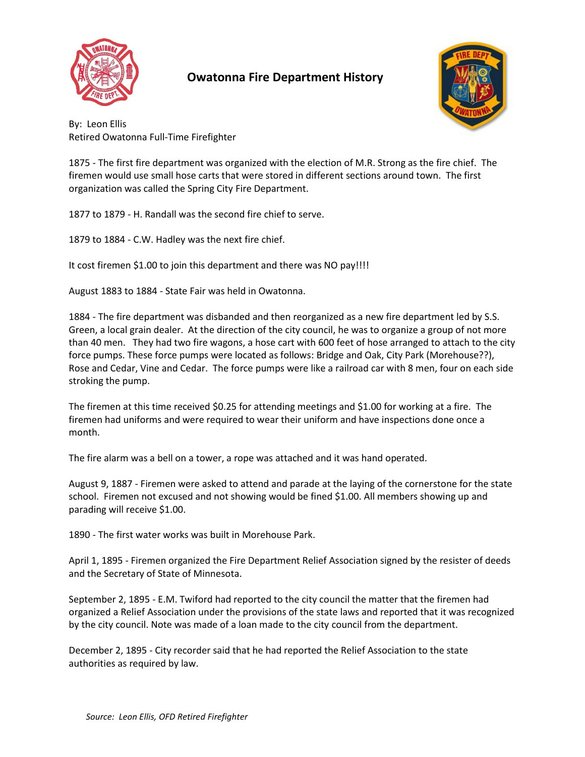

## **Owatonna Fire Department History**



By: Leon Ellis Retired Owatonna Full-Time Firefighter

1875 - The first fire department was organized with the election of M.R. Strong as the fire chief. The firemen would use small hose carts that were stored in different sections around town. The first organization was called the Spring City Fire Department.

1877 to 1879 - H. Randall was the second fire chief to serve.

1879 to 1884 - C.W. Hadley was the next fire chief.

It cost firemen \$1.00 to join this department and there was NO pay!!!!

August 1883 to 1884 - State Fair was held in Owatonna.

1884 - The fire department was disbanded and then reorganized as a new fire department led by S.S. Green, a local grain dealer. At the direction of the city council, he was to organize a group of not more than 40 men. They had two fire wagons, a hose cart with 600 feet of hose arranged to attach to the city force pumps. These force pumps were located as follows: Bridge and Oak, City Park (Morehouse??), Rose and Cedar, Vine and Cedar. The force pumps were like a railroad car with 8 men, four on each side stroking the pump.

The firemen at this time received \$0.25 for attending meetings and \$1.00 for working at a fire. The firemen had uniforms and were required to wear their uniform and have inspections done once a month.

The fire alarm was a bell on a tower, a rope was attached and it was hand operated.

August 9, 1887 - Firemen were asked to attend and parade at the laying of the cornerstone for the state school. Firemen not excused and not showing would be fined \$1.00. All members showing up and parading will receive \$1.00.

1890 - The first water works was built in Morehouse Park.

April 1, 1895 - Firemen organized the Fire Department Relief Association signed by the resister of deeds and the Secretary of State of Minnesota.

September 2, 1895 - E.M. Twiford had reported to the city council the matter that the firemen had organized a Relief Association under the provisions of the state laws and reported that it was recognized by the city council. Note was made of a loan made to the city council from the department.

December 2, 1895 - City recorder said that he had reported the Relief Association to the state authorities as required by law.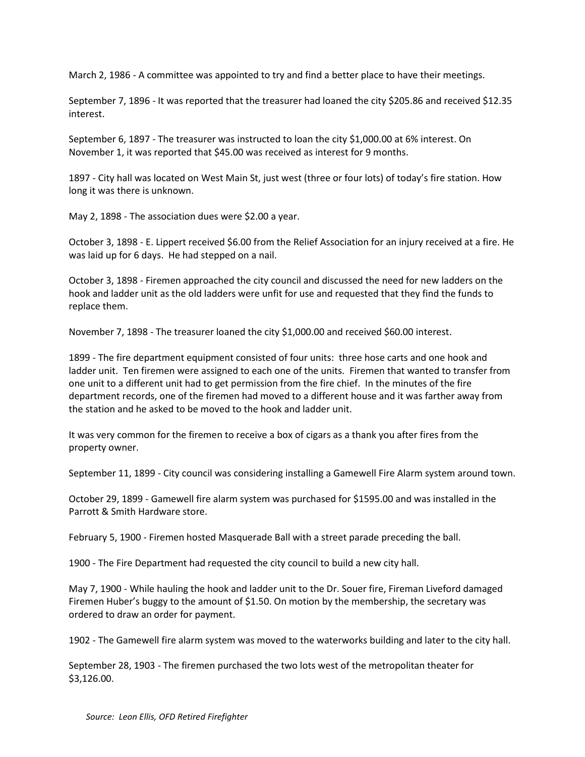March 2, 1986 - A committee was appointed to try and find a better place to have their meetings.

September 7, 1896 - It was reported that the treasurer had loaned the city \$205.86 and received \$12.35 interest.

September 6, 1897 - The treasurer was instructed to loan the city \$1,000.00 at 6% interest. On November 1, it was reported that \$45.00 was received as interest for 9 months.

1897 - City hall was located on West Main St, just west (three or four lots) of today's fire station. How long it was there is unknown.

May 2, 1898 - The association dues were \$2.00 a year.

October 3, 1898 - E. Lippert received \$6.00 from the Relief Association for an injury received at a fire. He was laid up for 6 days. He had stepped on a nail.

October 3, 1898 - Firemen approached the city council and discussed the need for new ladders on the hook and ladder unit as the old ladders were unfit for use and requested that they find the funds to replace them.

November 7, 1898 - The treasurer loaned the city \$1,000.00 and received \$60.00 interest.

1899 - The fire department equipment consisted of four units: three hose carts and one hook and ladder unit. Ten firemen were assigned to each one of the units. Firemen that wanted to transfer from one unit to a different unit had to get permission from the fire chief. In the minutes of the fire department records, one of the firemen had moved to a different house and it was farther away from the station and he asked to be moved to the hook and ladder unit.

It was very common for the firemen to receive a box of cigars as a thank you after fires from the property owner.

September 11, 1899 - City council was considering installing a Gamewell Fire Alarm system around town.

October 29, 1899 - Gamewell fire alarm system was purchased for \$1595.00 and was installed in the Parrott & Smith Hardware store.

February 5, 1900 - Firemen hosted Masquerade Ball with a street parade preceding the ball.

1900 - The Fire Department had requested the city council to build a new city hall.

May 7, 1900 - While hauling the hook and ladder unit to the Dr. Souer fire, Fireman Liveford damaged Firemen Huber's buggy to the amount of \$1.50. On motion by the membership, the secretary was ordered to draw an order for payment.

1902 - The Gamewell fire alarm system was moved to the waterworks building and later to the city hall.

September 28, 1903 - The firemen purchased the two lots west of the metropolitan theater for \$3,126.00.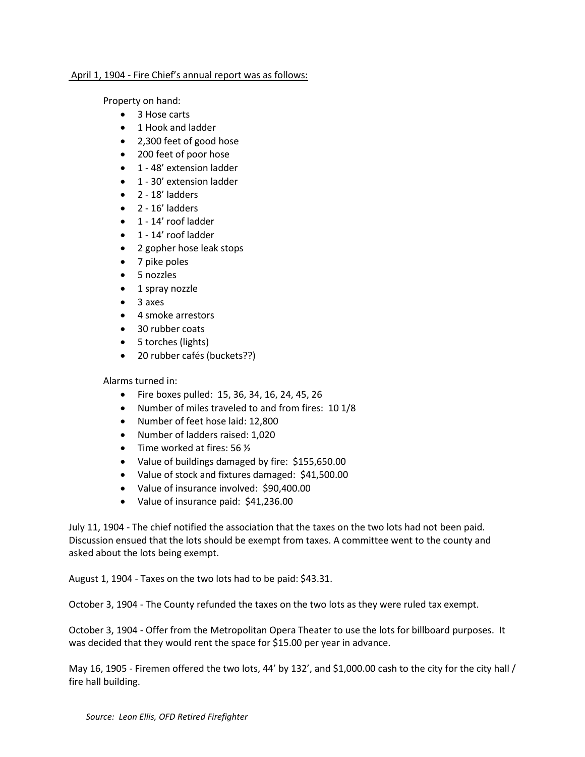## April 1, 1904 - Fire Chief's annual report was as follows:

Property on hand:

- 3 Hose carts
- 1 Hook and ladder
- 2,300 feet of good hose
- 200 feet of poor hose
- 1 48' extension ladder
- 1 30' extension ladder
- $\bullet$  2 18' ladders
- $\bullet$  2 16' ladders
- 1 14' roof ladder
- 1 14' roof ladder
- 2 gopher hose leak stops
- 7 pike poles
- 5 nozzles
- 1 spray nozzle
- 3 axes
- 4 smoke arrestors
- 30 rubber coats
- 5 torches (lights)
- 20 rubber cafés (buckets??)

Alarms turned in:

- Fire boxes pulled: 15, 36, 34, 16, 24, 45, 26
- Number of miles traveled to and from fires: 10 1/8
- Number of feet hose laid: 12,800
- Number of ladders raised: 1,020
- Time worked at fires:  $56\frac{1}{2}$
- Value of buildings damaged by fire: \$155,650.00
- Value of stock and fixtures damaged: \$41,500.00
- Value of insurance involved: \$90,400.00
- Value of insurance paid: \$41,236.00

July 11, 1904 - The chief notified the association that the taxes on the two lots had not been paid. Discussion ensued that the lots should be exempt from taxes. A committee went to the county and asked about the lots being exempt.

August 1, 1904 - Taxes on the two lots had to be paid: \$43.31.

October 3, 1904 - The County refunded the taxes on the two lots as they were ruled tax exempt.

October 3, 1904 - Offer from the Metropolitan Opera Theater to use the lots for billboard purposes. It was decided that they would rent the space for \$15.00 per year in advance.

May 16, 1905 - Firemen offered the two lots, 44' by 132', and \$1,000.00 cash to the city for the city hall / fire hall building.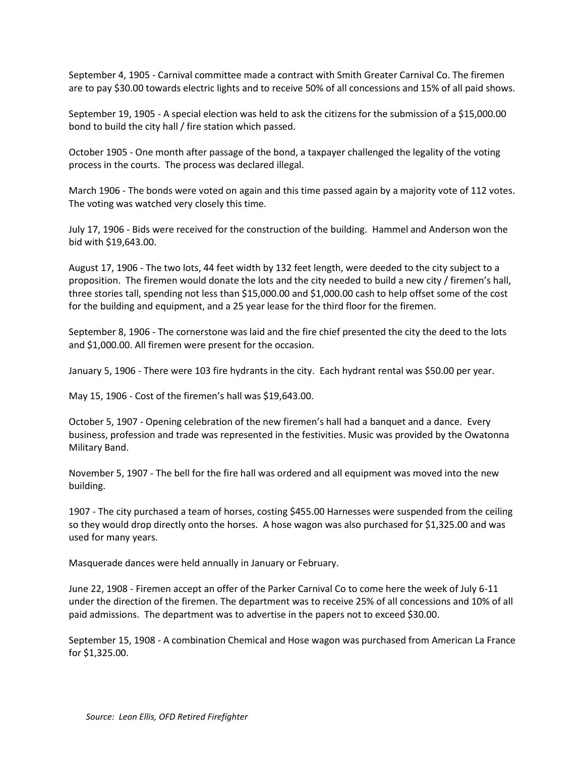September 4, 1905 - Carnival committee made a contract with Smith Greater Carnival Co. The firemen are to pay \$30.00 towards electric lights and to receive 50% of all concessions and 15% of all paid shows.

September 19, 1905 - A special election was held to ask the citizens for the submission of a \$15,000.00 bond to build the city hall / fire station which passed.

October 1905 - One month after passage of the bond, a taxpayer challenged the legality of the voting process in the courts. The process was declared illegal.

March 1906 - The bonds were voted on again and this time passed again by a majority vote of 112 votes. The voting was watched very closely this time.

July 17, 1906 - Bids were received for the construction of the building. Hammel and Anderson won the bid with \$19,643.00.

August 17, 1906 - The two lots, 44 feet width by 132 feet length, were deeded to the city subject to a proposition. The firemen would donate the lots and the city needed to build a new city / firemen's hall, three stories tall, spending not less than \$15,000.00 and \$1,000.00 cash to help offset some of the cost for the building and equipment, and a 25 year lease for the third floor for the firemen.

September 8, 1906 - The cornerstone was laid and the fire chief presented the city the deed to the lots and \$1,000.00. All firemen were present for the occasion.

January 5, 1906 - There were 103 fire hydrants in the city. Each hydrant rental was \$50.00 per year.

May 15, 1906 - Cost of the firemen's hall was \$19,643.00.

October 5, 1907 - Opening celebration of the new firemen's hall had a banquet and a dance. Every business, profession and trade was represented in the festivities. Music was provided by the Owatonna Military Band.

November 5, 1907 - The bell for the fire hall was ordered and all equipment was moved into the new building.

1907 - The city purchased a team of horses, costing \$455.00 Harnesses were suspended from the ceiling so they would drop directly onto the horses. A hose wagon was also purchased for \$1,325.00 and was used for many years.

Masquerade dances were held annually in January or February.

June 22, 1908 - Firemen accept an offer of the Parker Carnival Co to come here the week of July 6-11 under the direction of the firemen. The department was to receive 25% of all concessions and 10% of all paid admissions. The department was to advertise in the papers not to exceed \$30.00.

September 15, 1908 - A combination Chemical and Hose wagon was purchased from American La France for \$1,325.00.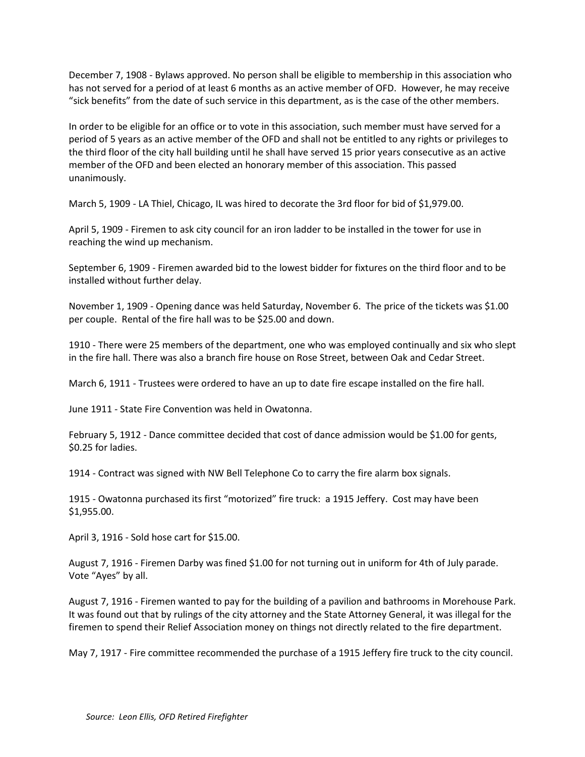December 7, 1908 - Bylaws approved. No person shall be eligible to membership in this association who has not served for a period of at least 6 months as an active member of OFD. However, he may receive "sick benefits" from the date of such service in this department, as is the case of the other members.

In order to be eligible for an office or to vote in this association, such member must have served for a period of 5 years as an active member of the OFD and shall not be entitled to any rights or privileges to the third floor of the city hall building until he shall have served 15 prior years consecutive as an active member of the OFD and been elected an honorary member of this association. This passed unanimously.

March 5, 1909 - LA Thiel, Chicago, IL was hired to decorate the 3rd floor for bid of \$1,979.00.

April 5, 1909 - Firemen to ask city council for an iron ladder to be installed in the tower for use in reaching the wind up mechanism.

September 6, 1909 - Firemen awarded bid to the lowest bidder for fixtures on the third floor and to be installed without further delay.

November 1, 1909 - Opening dance was held Saturday, November 6. The price of the tickets was \$1.00 per couple. Rental of the fire hall was to be \$25.00 and down.

1910 - There were 25 members of the department, one who was employed continually and six who slept in the fire hall. There was also a branch fire house on Rose Street, between Oak and Cedar Street.

March 6, 1911 - Trustees were ordered to have an up to date fire escape installed on the fire hall.

June 1911 - State Fire Convention was held in Owatonna.

February 5, 1912 - Dance committee decided that cost of dance admission would be \$1.00 for gents, \$0.25 for ladies.

1914 - Contract was signed with NW Bell Telephone Co to carry the fire alarm box signals.

1915 - Owatonna purchased its first "motorized" fire truck: a 1915 Jeffery. Cost may have been \$1,955.00.

April 3, 1916 - Sold hose cart for \$15.00.

August 7, 1916 - Firemen Darby was fined \$1.00 for not turning out in uniform for 4th of July parade. Vote "Ayes" by all.

August 7, 1916 - Firemen wanted to pay for the building of a pavilion and bathrooms in Morehouse Park. It was found out that by rulings of the city attorney and the State Attorney General, it was illegal for the firemen to spend their Relief Association money on things not directly related to the fire department.

May 7, 1917 - Fire committee recommended the purchase of a 1915 Jeffery fire truck to the city council.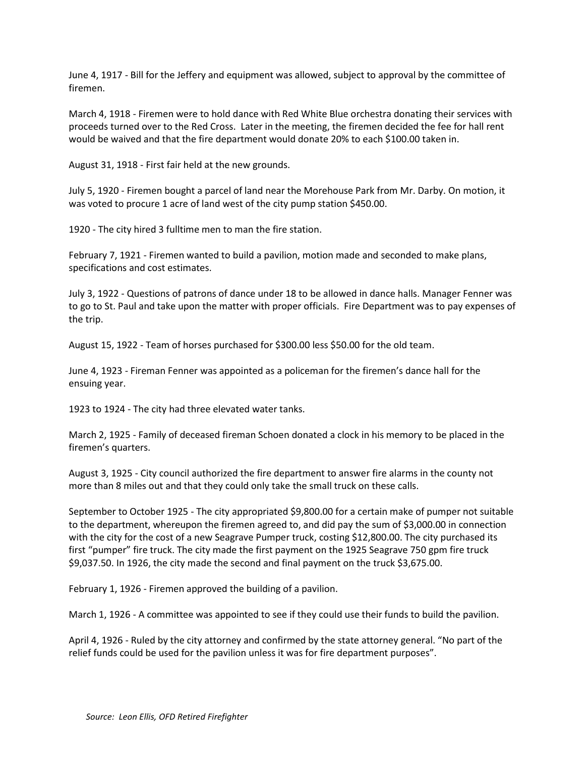June 4, 1917 - Bill for the Jeffery and equipment was allowed, subject to approval by the committee of firemen.

March 4, 1918 - Firemen were to hold dance with Red White Blue orchestra donating their services with proceeds turned over to the Red Cross. Later in the meeting, the firemen decided the fee for hall rent would be waived and that the fire department would donate 20% to each \$100.00 taken in.

August 31, 1918 - First fair held at the new grounds.

July 5, 1920 - Firemen bought a parcel of land near the Morehouse Park from Mr. Darby. On motion, it was voted to procure 1 acre of land west of the city pump station \$450.00.

1920 - The city hired 3 fulltime men to man the fire station.

February 7, 1921 - Firemen wanted to build a pavilion, motion made and seconded to make plans, specifications and cost estimates.

July 3, 1922 - Questions of patrons of dance under 18 to be allowed in dance halls. Manager Fenner was to go to St. Paul and take upon the matter with proper officials. Fire Department was to pay expenses of the trip.

August 15, 1922 - Team of horses purchased for \$300.00 less \$50.00 for the old team.

June 4, 1923 - Fireman Fenner was appointed as a policeman for the firemen's dance hall for the ensuing year.

1923 to 1924 - The city had three elevated water tanks.

March 2, 1925 - Family of deceased fireman Schoen donated a clock in his memory to be placed in the firemen's quarters.

August 3, 1925 - City council authorized the fire department to answer fire alarms in the county not more than 8 miles out and that they could only take the small truck on these calls.

September to October 1925 - The city appropriated \$9,800.00 for a certain make of pumper not suitable to the department, whereupon the firemen agreed to, and did pay the sum of \$3,000.00 in connection with the city for the cost of a new Seagrave Pumper truck, costing \$12,800.00. The city purchased its first "pumper" fire truck. The city made the first payment on the 1925 Seagrave 750 gpm fire truck \$9,037.50. In 1926, the city made the second and final payment on the truck \$3,675.00.

February 1, 1926 - Firemen approved the building of a pavilion.

March 1, 1926 - A committee was appointed to see if they could use their funds to build the pavilion.

April 4, 1926 - Ruled by the city attorney and confirmed by the state attorney general. "No part of the relief funds could be used for the pavilion unless it was for fire department purposes".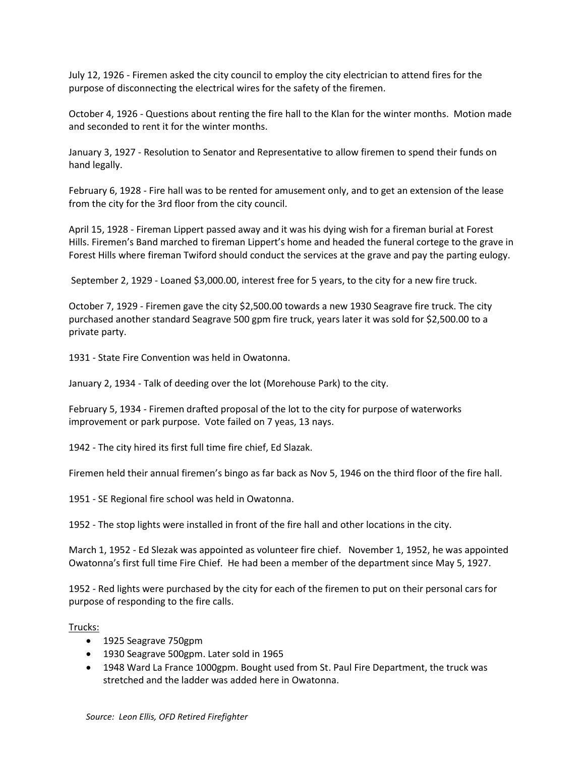July 12, 1926 - Firemen asked the city council to employ the city electrician to attend fires for the purpose of disconnecting the electrical wires for the safety of the firemen.

October 4, 1926 - Questions about renting the fire hall to the Klan for the winter months. Motion made and seconded to rent it for the winter months.

January 3, 1927 - Resolution to Senator and Representative to allow firemen to spend their funds on hand legally.

February 6, 1928 - Fire hall was to be rented for amusement only, and to get an extension of the lease from the city for the 3rd floor from the city council.

April 15, 1928 - Fireman Lippert passed away and it was his dying wish for a fireman burial at Forest Hills. Firemen's Band marched to fireman Lippert's home and headed the funeral cortege to the grave in Forest Hills where fireman Twiford should conduct the services at the grave and pay the parting eulogy.

September 2, 1929 - Loaned \$3,000.00, interest free for 5 years, to the city for a new fire truck.

October 7, 1929 - Firemen gave the city \$2,500.00 towards a new 1930 Seagrave fire truck. The city purchased another standard Seagrave 500 gpm fire truck, years later it was sold for \$2,500.00 to a private party.

1931 - State Fire Convention was held in Owatonna.

January 2, 1934 - Talk of deeding over the lot (Morehouse Park) to the city.

February 5, 1934 - Firemen drafted proposal of the lot to the city for purpose of waterworks improvement or park purpose. Vote failed on 7 yeas, 13 nays.

1942 - The city hired its first full time fire chief, Ed Slazak.

Firemen held their annual firemen's bingo as far back as Nov 5, 1946 on the third floor of the fire hall.

1951 - SE Regional fire school was held in Owatonna.

1952 - The stop lights were installed in front of the fire hall and other locations in the city.

March 1, 1952 - Ed Slezak was appointed as volunteer fire chief. November 1, 1952, he was appointed Owatonna's first full time Fire Chief. He had been a member of the department since May 5, 1927.

1952 - Red lights were purchased by the city for each of the firemen to put on their personal cars for purpose of responding to the fire calls.

Trucks:

- 1925 Seagrave 750gpm
- 1930 Seagrave 500gpm. Later sold in 1965
- 1948 Ward La France 1000gpm. Bought used from St. Paul Fire Department, the truck was stretched and the ladder was added here in Owatonna.